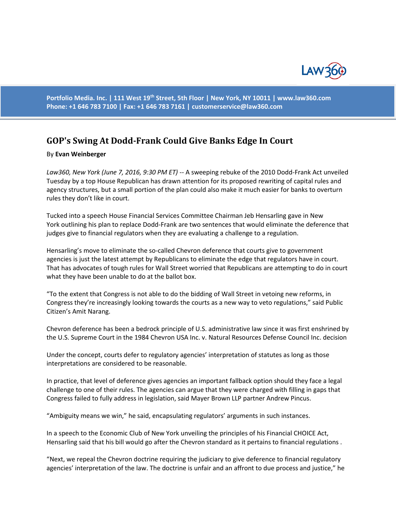

**Portfolio Media. Inc. | 111 West 19th Street, 5th Floor | New York, NY 10011 | www.law360.com Phone: +1 646 783 7100 | Fax: +1 646 783 7161 | [customerservice@law360.com](mailto:customerservice@law360.com)**

## **GOP's Swing At Dodd-Frank Could Give Banks Edge In Court**

## By **Evan Weinberger**

*Law360, New York (June 7, 2016, 9:30 PM ET)* -- A sweeping rebuke of the 2010 Dodd-Frank Act unveiled Tuesday by a top House Republican has drawn attention for its proposed rewriting of capital rules and agency structures, but a small portion of the plan could also make it much easier for banks to overturn rules they don't like in court.

Tucked into a speech House Financial Services Committee Chairman Jeb Hensarling gave in New York outlining his plan to replace Dodd-Frank are two sentences that would eliminate the deference that judges give to financial regulators when they are evaluating a challenge to a regulation.

Hensarling's move to eliminate the so-called Chevron deference that courts give to government agencies is just the latest attempt by Republicans to eliminate the edge that regulators have in court. That has advocates of tough rules for Wall Street worried that Republicans are attempting to do in court what they have been unable to do at the ballot box.

"To the extent that Congress is not able to do the bidding of Wall Street in vetoing new reforms, in Congress they're increasingly looking towards the courts as a new way to veto regulations," said Public Citizen's Amit Narang.

Chevron deference has been a bedrock principle of U.S. administrative law since it was first enshrined by the U.S. Supreme Court in the 1984 Chevron USA Inc. v. Natural Resources Defense Council Inc. decision

Under the concept, courts defer to regulatory agencies' interpretation of statutes as long as those interpretations are considered to be reasonable.

In practice, that level of deference gives agencies an important fallback option should they face a legal challenge to one of their rules. The agencies can argue that they were charged with filling in gaps that Congress failed to fully address in legislation, said Mayer Brown LLP partner Andrew Pincus.

"Ambiguity means we win," he said, encapsulating regulators' arguments in such instances.

In a speech to the Economic Club of New York unveiling the principles of his Financial CHOICE Act, Hensarling said that his bill would go after the Chevron standard as it pertains to financial regulations .

"Next, we repeal the Chevron doctrine requiring the judiciary to give deference to financial regulatory agencies' interpretation of the law. The doctrine is unfair and an affront to due process and justice," he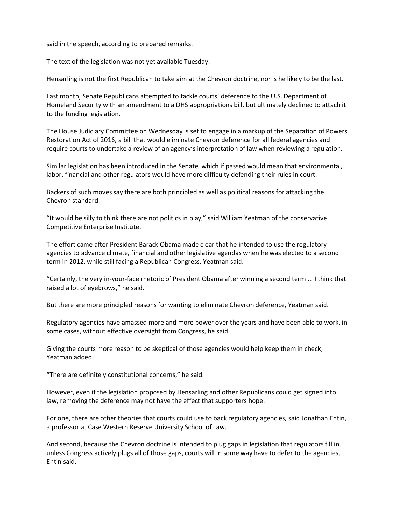said in the speech, according to prepared remarks.

The text of the legislation was not yet available Tuesday.

Hensarling is not the first Republican to take aim at the Chevron doctrine, nor is he likely to be the last.

Last month, Senate Republicans attempted to tackle courts' deference to the U.S. Department of Homeland Security with an amendment to a DHS appropriations bill, but ultimately declined to attach it to the funding legislation.

The House Judiciary Committee on Wednesday is set to engage in a markup of the Separation of Powers Restoration Act of 2016, a bill that would eliminate Chevron deference for all federal agencies and require courts to undertake a review of an agency's interpretation of law when reviewing a regulation.

Similar legislation has been introduced in the Senate, which if passed would mean that environmental, labor, financial and other regulators would have more difficulty defending their rules in court.

Backers of such moves say there are both principled as well as political reasons for attacking the Chevron standard.

"It would be silly to think there are not politics in play," said William Yeatman of the conservative Competitive Enterprise Institute.

The effort came after President Barack Obama made clear that he intended to use the regulatory agencies to advance climate, financial and other legislative agendas when he was elected to a second term in 2012, while still facing a Republican Congress, Yeatman said.

"Certainly, the very in-your-face rhetoric of President Obama after winning a second term ... I think that raised a lot of eyebrows," he said.

But there are more principled reasons for wanting to eliminate Chevron deference, Yeatman said.

Regulatory agencies have amassed more and more power over the years and have been able to work, in some cases, without effective oversight from Congress, he said.

Giving the courts more reason to be skeptical of those agencies would help keep them in check, Yeatman added.

"There are definitely constitutional concerns," he said.

However, even if the legislation proposed by Hensarling and other Republicans could get signed into law, removing the deference may not have the effect that supporters hope.

For one, there are other theories that courts could use to back regulatory agencies, said Jonathan Entin, a professor at Case Western Reserve University School of Law.

And second, because the Chevron doctrine is intended to plug gaps in legislation that regulators fill in, unless Congress actively plugs all of those gaps, courts will in some way have to defer to the agencies, Entin said.